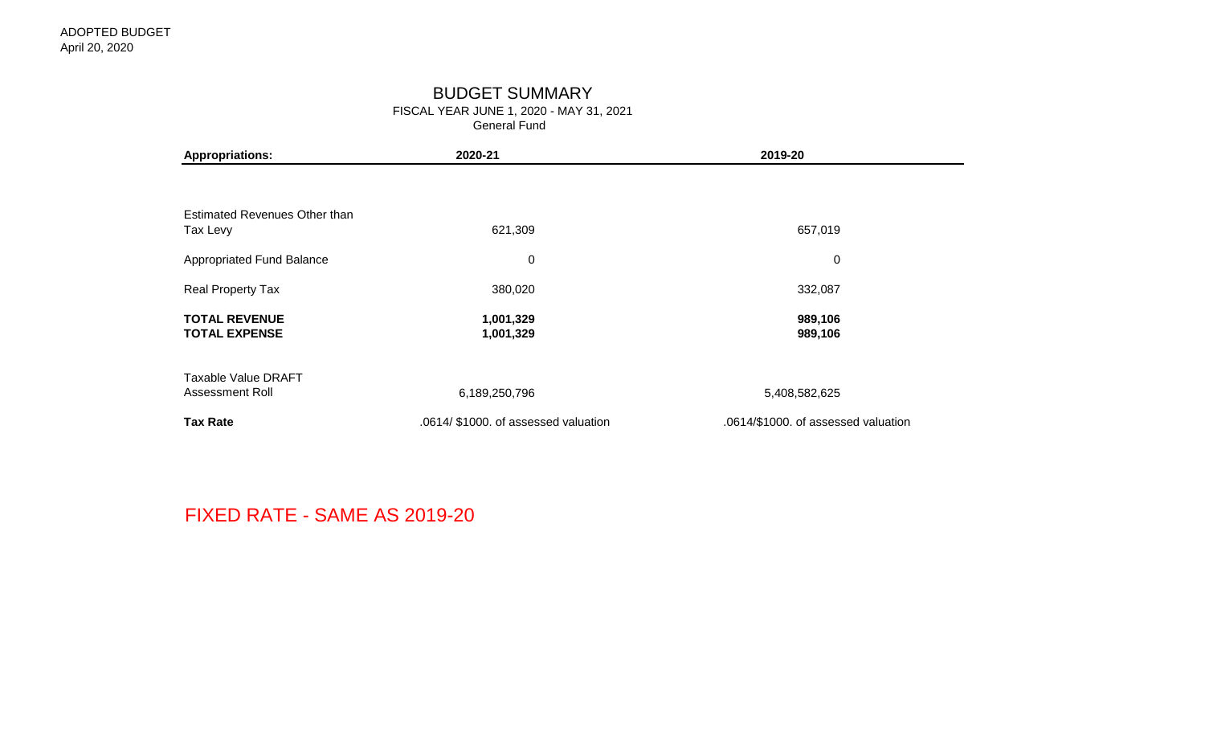## BUDGET SUMMARY

FISCAL YEAR JUNE 1, 2020 - MAY 31, 2021 General Fund

| <b>Appropriations:</b>                       | 2020-21                              | 2019-20                             |  |  |  |  |
|----------------------------------------------|--------------------------------------|-------------------------------------|--|--|--|--|
|                                              |                                      |                                     |  |  |  |  |
| Estimated Revenues Other than                |                                      |                                     |  |  |  |  |
| Tax Levy                                     | 621,309                              | 657,019                             |  |  |  |  |
| <b>Appropriated Fund Balance</b>             | $\mathbf 0$                          | $\mathbf 0$                         |  |  |  |  |
| Real Property Tax                            | 380,020                              | 332,087                             |  |  |  |  |
| <b>TOTAL REVENUE</b><br><b>TOTAL EXPENSE</b> | 1,001,329<br>1,001,329               | 989,106<br>989,106                  |  |  |  |  |
| Taxable Value DRAFT                          |                                      |                                     |  |  |  |  |
| Assessment Roll                              | 6,189,250,796                        | 5,408,582,625                       |  |  |  |  |
| <b>Tax Rate</b>                              | .0614/ \$1000. of assessed valuation | .0614/\$1000. of assessed valuation |  |  |  |  |

FIXED RATE - SAME AS 2019-20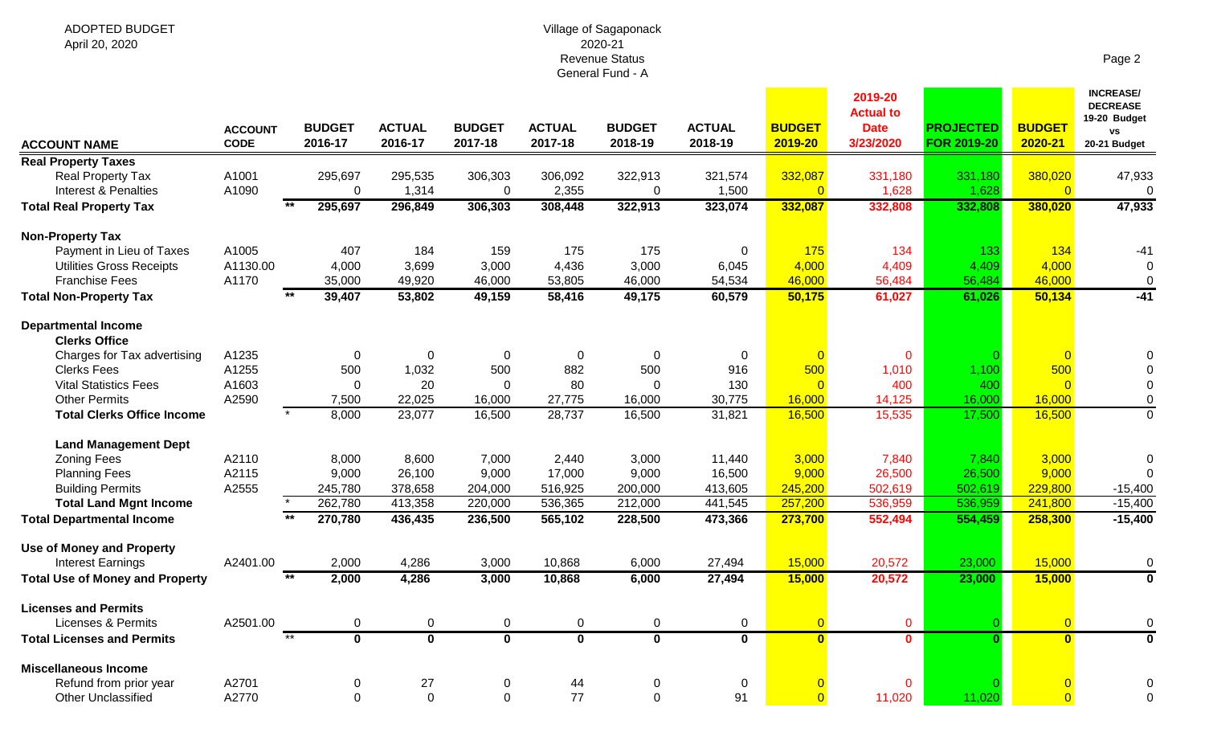#### Village of Sagaponack 2020-21 Revenue Status General Fund - A

| <b>ACCOUNT NAME</b>                                  | <b>ACCOUNT</b><br><b>CODE</b> | <b>BUDGET</b><br>2016-17         | <b>ACTUAL</b><br>2016-17 | <b>BUDGET</b><br>2017-18 | <b>ACTUAL</b><br>2017-18 | <b>BUDGET</b><br>2018-19 | <b>ACTUAL</b><br>2018-19 | <b>BUDGET</b><br>2019-20 | 2019-20<br><b>Actual to</b><br><b>Date</b><br>3/23/2020 | <b>PROJECTED</b><br><b>FOR 2019-20</b> | <b>BUDGET</b><br>2020-21 | <b>INCREASE/</b><br><b>DECREASE</b><br>19-20 Budget<br>VS<br>20-21 Budget |
|------------------------------------------------------|-------------------------------|----------------------------------|--------------------------|--------------------------|--------------------------|--------------------------|--------------------------|--------------------------|---------------------------------------------------------|----------------------------------------|--------------------------|---------------------------------------------------------------------------|
| <b>Real Property Taxes</b>                           |                               |                                  |                          |                          |                          |                          |                          |                          |                                                         |                                        |                          |                                                                           |
| Real Property Tax<br><b>Interest &amp; Penalties</b> | A1001<br>A1090                | 295,697<br>0                     | 295,535<br>1,314         | 306,303<br>$\mathbf 0$   | 306,092<br>2,355         | 322,913<br>$\mathbf 0$   | 321,574<br>1,500         | 332,087                  | 331,180<br>1,628                                        | 331,180<br>1,628                       | 380,020<br>$\Omega$      | 47,933<br>$\Omega$                                                        |
| <b>Total Real Property Tax</b>                       |                               | $*$<br>295,697                   | 296,849                  | 306,303                  | 308,448                  | 322,913                  | 323,074                  | 332,087                  | 332,808                                                 | 332,808                                | 380,020                  | 47,933                                                                    |
| <b>Non-Property Tax</b>                              |                               |                                  |                          |                          |                          |                          |                          |                          |                                                         |                                        |                          |                                                                           |
| Payment in Lieu of Taxes                             | A1005                         | 407                              | 184                      | 159                      | 175                      | 175                      | 0                        | 175                      | 134                                                     | 133                                    | 134                      | $-41$                                                                     |
| <b>Utilities Gross Receipts</b>                      | A1130.00                      | 4,000                            | 3,699                    | 3,000                    | 4,436                    | 3,000                    | 6,045                    | 4,000                    | 4,409                                                   | 4,409                                  | 4,000                    | $\Omega$                                                                  |
| <b>Franchise Fees</b>                                | A1170                         | 35,000                           | 49,920                   | 46,000                   | 53,805                   | 46,000                   | 54,534                   | 46,000                   | 56,484                                                  | 56,484                                 | 46,000                   | $\mathbf 0$                                                               |
| <b>Total Non-Property Tax</b>                        |                               | 39,407                           | 53,802                   | 49,159                   | 58,416                   | 49,175                   | 60,579                   | 50,175                   | 61,027                                                  | 61,026                                 | 50,134                   | $-41$                                                                     |
| <b>Departmental Income</b><br><b>Clerks Office</b>   |                               |                                  |                          |                          |                          |                          |                          |                          |                                                         |                                        |                          |                                                                           |
| Charges for Tax advertising                          | A1235                         | $\pmb{0}$                        | $\Omega$                 | $\mathbf 0$              | $\mathbf 0$              | $\mathbf 0$              | 0                        |                          | $\mathbf 0$                                             |                                        | $\overline{0}$           |                                                                           |
| <b>Clerks Fees</b>                                   | A1255                         | 500                              | 1,032                    | 500                      | 882                      | 500                      | 916                      | 500                      | 1,010                                                   | 1,100                                  | 500                      |                                                                           |
| <b>Vital Statistics Fees</b>                         | A1603                         | $\Omega$                         | 20                       | $\Omega$                 | 80                       | $\Omega$                 | 130                      |                          | 400                                                     | 400                                    | $\Omega$                 |                                                                           |
| <b>Other Permits</b>                                 | A2590                         | 7,500                            | 22,025                   | 16,000                   | 27,775                   | 16,000                   | 30,775                   | 16,000                   | 14,125                                                  | 16,000                                 | 16,000                   | $\mathbf 0$                                                               |
| <b>Total Clerks Office Income</b>                    |                               | 8,000                            | 23,077                   | 16,500                   | 28,737                   | 16,500                   | 31,821                   | 16,500                   | 15,535                                                  | 17,500                                 | 16,500                   | $\overline{0}$                                                            |
| <b>Land Management Dept</b>                          |                               |                                  |                          |                          |                          |                          |                          |                          |                                                         |                                        |                          |                                                                           |
| <b>Zoning Fees</b>                                   | A2110                         | 8,000                            | 8,600                    | 7,000                    | 2,440                    | 3,000                    | 11,440                   | 3,000                    | 7,840                                                   | 7,840                                  | 3,000                    | $\Omega$                                                                  |
| <b>Planning Fees</b>                                 | A2115                         | 9,000                            | 26,100                   | 9,000                    | 17,000                   | 9,000                    | 16,500                   | 9,000                    | 26,500                                                  | 26,500                                 | 9,000                    |                                                                           |
| <b>Building Permits</b>                              | A2555                         | 245,780                          | 378,658                  | 204,000                  | 516,925                  | 200,000                  | 413,605                  | 245,200                  | 502,619                                                 | 502,619                                | 229,800                  | $-15,400$                                                                 |
| <b>Total Land Mgnt Income</b>                        |                               | 262,780                          | 413,358                  | 220,000                  | 536,365                  | 212,000                  | 441,545                  | 257,200                  | 536,959                                                 | 536,959                                | 241,800                  | $-15,400$                                                                 |
| <b>Total Departmental Income</b>                     |                               | 270,780                          | 436,435                  | 236,500                  | 565,102                  | 228,500                  | 473,366                  | 273,700                  | 552,494                                                 | 554,459                                | 258,300                  | $-15,400$                                                                 |
| <b>Use of Money and Property</b>                     |                               |                                  |                          |                          |                          |                          |                          |                          |                                                         |                                        |                          |                                                                           |
| <b>Interest Earnings</b>                             | A2401.00                      | 2,000                            | 4,286                    | 3,000                    | 10,868                   | 6,000                    | 27,494                   | 15,000                   | 20,572                                                  | 23,000                                 | 15,000                   | $\Omega$                                                                  |
| <b>Total Use of Money and Property</b>               |                               | $**$<br>2,000                    | 4,286                    | 3,000                    | 10,868                   | 6,000                    | 27,494                   | 15,000                   | 20,572                                                  | 23,000                                 | 15,000                   | $\mathbf 0$                                                               |
| <b>Licenses and Permits</b>                          |                               |                                  |                          |                          |                          |                          |                          |                          |                                                         |                                        |                          |                                                                           |
| <b>Licenses &amp; Permits</b>                        | A2501.00                      | $\pmb{0}$                        | $\pmb{0}$                | $\pmb{0}$                | 0                        | $\boldsymbol{0}$         | $\mathbf 0$              |                          | $\mathbf 0$                                             |                                        | $\overline{0}$           | 0                                                                         |
| <b>Total Licenses and Permits</b>                    |                               | $***$<br>$\overline{\mathbf{0}}$ | $\overline{\mathbf{0}}$  | $\bf{0}$                 | $\mathbf 0$              | $\mathbf 0$              | $\mathbf 0$              | $\mathbf{0}$             | $\mathbf{0}$                                            | $\Omega$                               | $\mathbf{0}$             | $\bf{0}$                                                                  |
| <b>Miscellaneous Income</b>                          |                               |                                  |                          |                          |                          |                          |                          |                          |                                                         |                                        |                          |                                                                           |
| Refund from prior year                               | A2701                         | 0                                | 27                       | 0                        | 44                       | 0                        | $\mathbf 0$              |                          | $\mathbf 0$                                             |                                        |                          |                                                                           |
| <b>Other Unclassified</b>                            | A2770                         | $\mathbf 0$                      | $\Omega$                 | $\mathbf 0$              | 77                       | $\Omega$                 | 91                       |                          | 11,020                                                  | 11,020                                 | $\Omega$                 | $\Omega$                                                                  |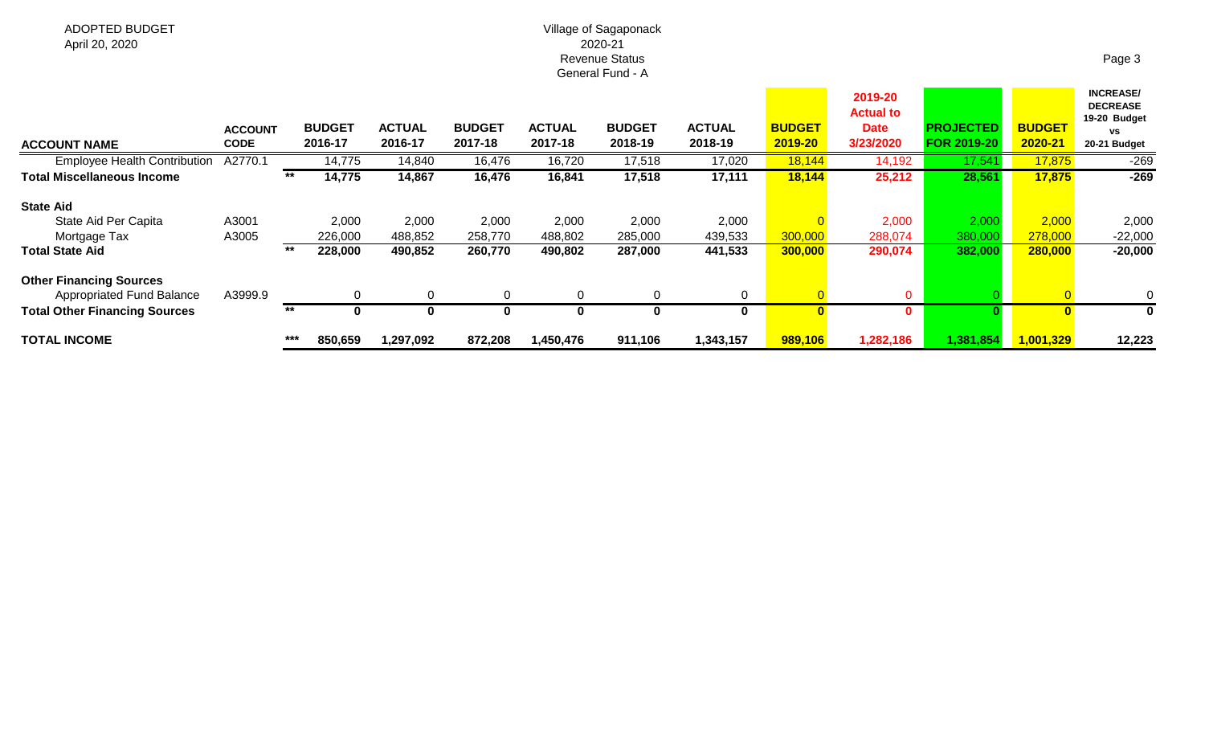### Village of Sagaponack 2020-21 Revenue Status General Fund - A

| <b>ACCOUNT NAME</b>                                                | <b>ACCOUNT</b><br><b>CODE</b> |     | <b>BUDGET</b><br>2016-17 | <b>ACTUAL</b><br>2016-17 | <b>BUDGET</b><br>2017-18 | <b>ACTUAL</b><br>2017-18 | <b>BUDGET</b><br>2018-19 | <b>ACTUAL</b><br>2018-19 | <b>BUDGET</b><br>2019-20 | 2019-20<br><b>Actual to</b><br><b>Date</b><br>3/23/2020 | <b>PROJECTED</b><br><b>FOR 2019-20</b> | <b>BUDGET</b><br>2020-21 | <b>INCREASE/</b><br><b>DECREASE</b><br>19-20 Budget<br><b>VS</b><br>20-21 Budget |
|--------------------------------------------------------------------|-------------------------------|-----|--------------------------|--------------------------|--------------------------|--------------------------|--------------------------|--------------------------|--------------------------|---------------------------------------------------------|----------------------------------------|--------------------------|----------------------------------------------------------------------------------|
| <b>Employee Health Contribution</b>                                | A2770.                        |     | 14,775                   | 14,840                   | 16,476                   | 16,720                   | 17,518                   | 17,020                   | 18,144                   | 14,192                                                  | 17,541                                 | 17,875                   | $-269$                                                                           |
| <b>Total Miscellaneous Income</b>                                  |                               | **  | 14,775                   | 14,867                   | 16,476                   | 16,841                   | 17,518                   | 17,111                   | 18,144                   | 25,212                                                  | 28,561                                 | 17,875                   | $-269$                                                                           |
| <b>State Aid</b>                                                   |                               |     |                          |                          |                          |                          |                          |                          |                          |                                                         |                                        |                          |                                                                                  |
| State Aid Per Capita                                               | A3001                         |     | 2,000                    | 2,000                    | 2,000                    | 2,000                    | 2,000                    | 2,000                    |                          | 2,000                                                   | 2,000                                  | 2,000                    | 2,000                                                                            |
| Mortgage Tax                                                       | A3005                         |     | 226,000                  | 488,852                  | 258,770                  | 488,802                  | 285,000                  | 439,533                  | 300,000                  | 288,074                                                 | 380,000                                | 278,000                  | $-22,000$                                                                        |
| <b>Total State Aid</b>                                             |                               | **  | 228,000                  | 490,852                  | 260,770                  | 490,802                  | 287,000                  | 441,533                  | 300,000                  | 290,074                                                 | 382,000                                | 280,000                  | $-20,000$                                                                        |
| <b>Other Financing Sources</b><br><b>Appropriated Fund Balance</b> | A3999.9                       |     | 0                        | 0                        | 0                        | $\Omega$                 | 0                        | $\overline{0}$           |                          | 0                                                       |                                        |                          | 0                                                                                |
|                                                                    |                               | **  |                          |                          |                          |                          |                          |                          |                          |                                                         |                                        |                          |                                                                                  |
| <b>Total Other Financing Sources</b>                               |                               |     |                          | O                        | 0                        | Ω                        | 0                        | 0                        |                          | 0                                                       |                                        |                          |                                                                                  |
| <b>TOTAL INCOME</b>                                                |                               | *** | 850,659                  | 1,297,092                | 872,208                  | 1,450,476                | 911,106                  | 1,343,157                | 989,106                  | 1,282,186                                               | 1,381,854                              | 1,001,329                | 12,223                                                                           |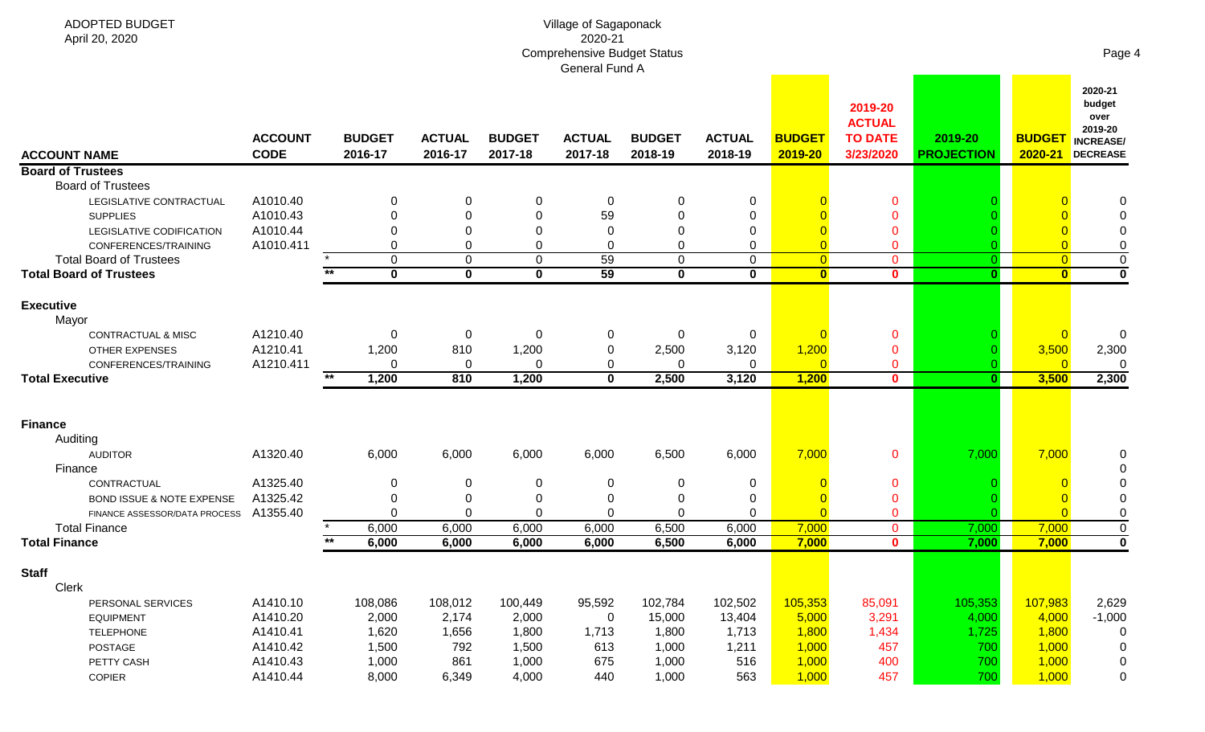| <b>ADOPTED BUDGET</b>                                  |                               |       |                          |                          |                          | Village of Sagaponack                                |                          |                          |                                  |                                                         |                              |                              |                                                                             |
|--------------------------------------------------------|-------------------------------|-------|--------------------------|--------------------------|--------------------------|------------------------------------------------------|--------------------------|--------------------------|----------------------------------|---------------------------------------------------------|------------------------------|------------------------------|-----------------------------------------------------------------------------|
| April 20, 2020                                         |                               |       |                          |                          |                          | 2020-21                                              |                          |                          |                                  |                                                         |                              |                              |                                                                             |
|                                                        |                               |       |                          |                          |                          | <b>Comprehensive Budget Status</b><br>General Fund A |                          |                          |                                  |                                                         |                              |                              | Page 4                                                                      |
| <b>ACCOUNT NAME</b>                                    | <b>ACCOUNT</b><br><b>CODE</b> |       | <b>BUDGET</b><br>2016-17 | <b>ACTUAL</b><br>2016-17 | <b>BUDGET</b><br>2017-18 | <b>ACTUAL</b><br>2017-18                             | <b>BUDGET</b><br>2018-19 | <b>ACTUAL</b><br>2018-19 | <b>BUDGET</b><br>2019-20         | 2019-20<br><b>ACTUAL</b><br><b>TO DATE</b><br>3/23/2020 | 2019-20<br><b>PROJECTION</b> | <b>BUDGET</b><br>$2020 - 21$ | 2020-21<br>budget<br>over<br>2019-20<br><b>INCREASE/</b><br><b>DECREASE</b> |
| <b>Board of Trustees</b>                               |                               |       |                          |                          |                          |                                                      |                          |                          |                                  |                                                         |                              |                              |                                                                             |
| <b>Board of Trustees</b>                               |                               |       |                          |                          |                          |                                                      |                          |                          |                                  |                                                         |                              |                              |                                                                             |
| LEGISLATIVE CONTRACTUAL                                | A1010.40                      |       |                          | $\Omega$                 | 0                        | 0                                                    | 0                        | 0                        |                                  | 0                                                       |                              |                              |                                                                             |
| <b>SUPPLIES</b>                                        | A1010.43                      |       |                          | $\Omega$                 | 0                        | 59                                                   | 0                        | 0                        |                                  | 0                                                       |                              |                              |                                                                             |
| LEGISLATIVE CODIFICATION                               | A1010.44                      |       |                          |                          | 0<br>$\pmb{0}$           | $\Omega$<br>$\Omega$                                 | 0<br>0                   | 0                        |                                  | 0                                                       |                              |                              |                                                                             |
| CONFERENCES/TRAINING<br><b>Total Board of Trustees</b> | A1010.411                     |       | $\Omega$                 | $\mathbf 0$              | $\mathbf 0$              | 59                                                   | 0                        | 0<br>$\Omega$            | $\overline{0}$<br>$\overline{0}$ | $\mathbf 0$<br>$\mathbf 0$                              |                              | $\overline{0}$               | $\pmb{0}$                                                                   |
| <b>Total Board of Trustees</b>                         |                               | $***$ | $\mathbf 0$              | 0                        | $\mathbf 0$              | 59                                                   | $\mathbf 0$              | $\bf{0}$                 | $\overline{\mathbf{0}}$          | $\mathbf{0}$                                            | $\mathbf{0}$                 | $\overline{\mathbf{0}}$      | $\mathbf 0$                                                                 |
|                                                        |                               |       |                          |                          |                          |                                                      |                          |                          |                                  |                                                         |                              |                              |                                                                             |
| <b>Executive</b>                                       |                               |       |                          |                          |                          |                                                      |                          |                          |                                  |                                                         |                              |                              |                                                                             |
| Mayor                                                  |                               |       |                          |                          |                          |                                                      |                          |                          |                                  |                                                         |                              |                              |                                                                             |
| <b>CONTRACTUAL &amp; MISC</b>                          | A1210.40                      |       | 0                        | 0                        | 0                        | 0                                                    | 0                        | 0                        | $\overline{0}$                   | 0                                                       |                              |                              | $\overline{0}$                                                              |
| <b>OTHER EXPENSES</b>                                  | A1210.41                      |       | 1,200                    | 810                      | 1,200                    | 0                                                    | 2,500<br>0               | 3,120                    | 1,200                            | 0                                                       |                              | 3,500<br>$\Omega$            | 2,300                                                                       |
| CONFERENCES/TRAINING<br><b>Total Executive</b>         | A1210.411                     | $*$   | 1,200                    | 0<br>810                 | 0<br>1,200               | 0<br>$\mathbf{0}$                                    | 2,500                    | 0<br>3,120               | $\overline{0}$<br>1,200          | 0<br>$\mathbf{0}$                                       | $\mathbf{0}$                 | 3,500                        | 2,300                                                                       |
|                                                        |                               |       |                          |                          |                          |                                                      |                          |                          |                                  |                                                         |                              |                              |                                                                             |
| <b>Finance</b>                                         |                               |       |                          |                          |                          |                                                      |                          |                          |                                  |                                                         |                              |                              |                                                                             |
| Auditing                                               |                               |       |                          |                          |                          |                                                      |                          |                          |                                  |                                                         |                              |                              |                                                                             |
| <b>AUDITOR</b>                                         | A1320.40                      |       | 6,000                    | 6,000                    | 6,000                    | 6,000                                                | 6,500                    | 6,000                    | 7,000                            | 0                                                       | 7,000                        | 7,000                        | 0                                                                           |
| Finance                                                |                               |       |                          |                          |                          |                                                      |                          |                          |                                  |                                                         |                              |                              |                                                                             |
| CONTRACTUAL                                            | A1325.40                      |       |                          | 0                        | 0                        | 0                                                    | 0                        | 0                        |                                  | 0                                                       |                              |                              |                                                                             |
| BOND ISSUE & NOTE EXPENSE                              | A1325.42                      |       |                          |                          | 0                        | 0                                                    | 0                        | 0                        |                                  | 0                                                       |                              |                              |                                                                             |
| FINANCE ASSESSOR/DATA PROCESS                          | A1355.40                      |       |                          | $\Omega$                 | 0                        | 0                                                    | 0                        | $\Omega$                 |                                  | 0                                                       |                              |                              |                                                                             |
| <b>Total Finance</b>                                   |                               |       | 6,000                    | 6,000                    | 6,000                    | 6,000                                                | 6,500                    | 6,000                    | 7,000                            | $\mathbf{0}$                                            | 7,000                        | 7,000                        | $\mathbf 0$                                                                 |
| <b>Total Finance</b>                                   |                               | $***$ | 6,000                    | 6,000                    | 6,000                    | 6,000                                                | 6,500                    | 6,000                    | 7,000                            | $\mathbf{0}$                                            | 7,000                        | 7,000                        | $\mathbf 0$                                                                 |
| <b>Staff</b>                                           |                               |       |                          |                          |                          |                                                      |                          |                          |                                  |                                                         |                              |                              |                                                                             |
| Clerk                                                  |                               |       |                          |                          |                          |                                                      |                          |                          |                                  |                                                         |                              |                              |                                                                             |
| PERSONAL SERVICES                                      | A1410.10                      |       | 108,086                  | 108,012                  | 100,449                  | 95,592                                               | 102,784                  | 102,502                  | 105,353                          | 85,091                                                  | 105,353                      | 107,983                      | 2,629                                                                       |
| <b>EQUIPMENT</b>                                       | A1410.20                      |       | 2,000                    | 2,174                    | 2,000                    | 0                                                    | 15,000                   | 13,404                   | 5,000                            | 3,291                                                   | 4,000                        | 4,000                        | $-1,000$                                                                    |
| <b>TELEPHONE</b>                                       | A1410.41                      |       | 1,620                    | 1,656                    | 1,800                    | 1,713                                                | 1,800                    | 1,713                    | 1,800                            | 1,434                                                   | 1,725                        | 1,800                        | $\mathbf 0$                                                                 |
| POSTAGE                                                | A1410.42                      |       | 1,500                    | 792                      | 1,500                    | 613                                                  | 1,000                    | 1,211                    | 1,000                            | 457                                                     | 700                          | 1,000                        | 0                                                                           |
| PETTY CASH                                             | A1410.43                      |       | 1,000                    | 861                      | 1,000                    | 675                                                  | 1,000                    | 516                      | 1,000                            | 400                                                     | 700                          | 1,000                        | 0                                                                           |
| COPIER                                                 | A1410.44                      |       | 8,000                    | 6,349                    | 4,000                    | 440                                                  | 1,000                    | 563                      | 1,000                            | 457                                                     | 700                          | 1,000                        | 0                                                                           |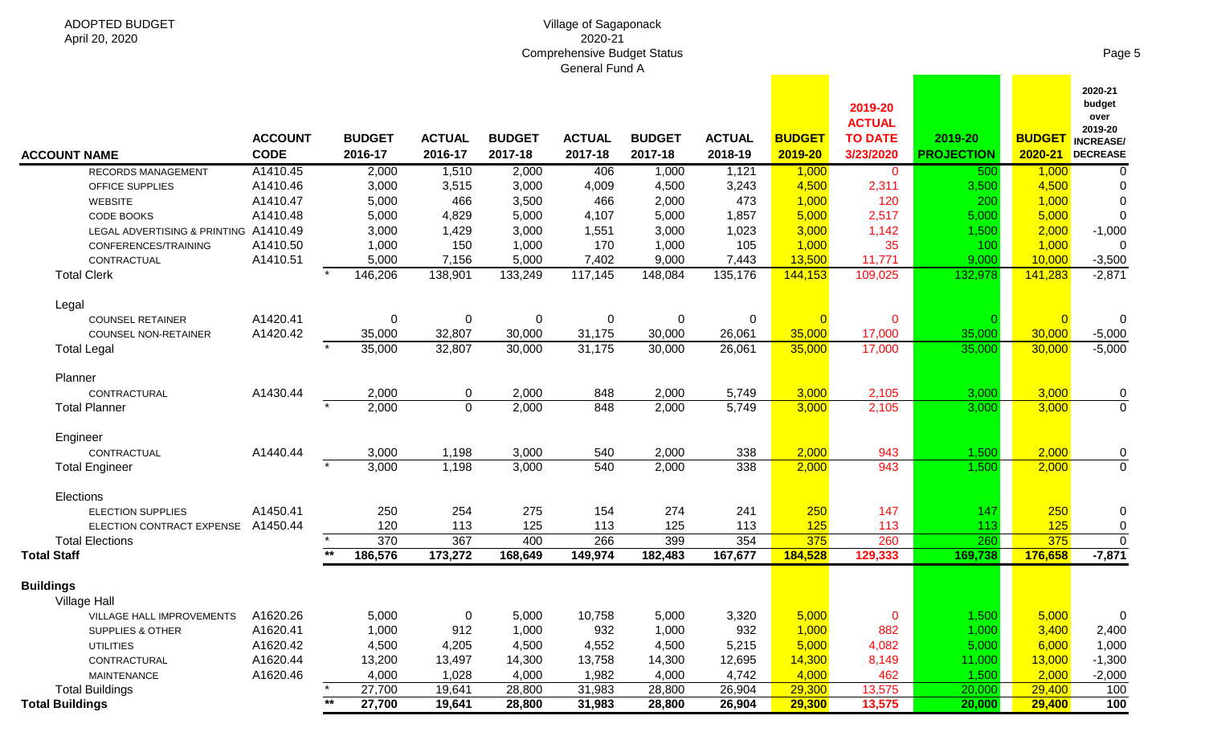#### Village of Sagaponack 2020-21 Comprehensive Budget Status General Fund A

| <b>ACCOUNT NAME</b>                                       | <b>ACCOUNT</b><br><b>CODE</b> |       | <b>BUDGET</b><br>2016-17 | <b>ACTUAL</b><br>2016-17 | <b>BUDGET</b><br>2017-18 | <b>ACTUAL</b><br>2017-18 | <b>BUDGET</b><br>2017-18 | <b>ACTUAL</b><br>2018-19 | <b>BUDGET</b><br>2019-20 | 2019-20<br><b>ACTUAL</b><br><b>TO DATE</b><br>3/23/2020 | 2019-20<br><b>PROJECTION</b> | <b>BUDGET</b><br>2020-21 | 2020-21<br>budget<br>over<br>2019-20<br><b>INCREASE</b><br><b>DECREASE</b> |
|-----------------------------------------------------------|-------------------------------|-------|--------------------------|--------------------------|--------------------------|--------------------------|--------------------------|--------------------------|--------------------------|---------------------------------------------------------|------------------------------|--------------------------|----------------------------------------------------------------------------|
| <b>RECORDS MANAGEMENT</b>                                 | A1410.45                      |       | 2,000                    | 1,510                    | 2,000                    | 406                      | 1,000                    | 1,121                    | 1,000                    | $\mathbf 0$                                             | 500                          | 1,000                    | 0                                                                          |
| OFFICE SUPPLIES                                           | A1410.46                      |       | 3,000                    | 3,515                    | 3,000                    | 4,009                    | 4,500                    | 3,243                    | 4,500                    | 2,311                                                   | 3,500                        | 4,500                    | 0                                                                          |
| WEBSITE                                                   | A1410.47                      |       | 5,000                    | 466                      | 3,500                    | 466                      | 2,000                    | 473                      | 1,000                    | 120                                                     | 200                          | 1,000                    | $\Omega$                                                                   |
| CODE BOOKS                                                | A1410.48                      |       | 5,000                    | 4,829                    | 5,000                    | 4,107                    | 5,000                    | 1,857                    | 5,000                    | 2,517                                                   | 5,000                        | 5,000                    | $\Omega$                                                                   |
| LEGAL ADVERTISING & PRINTING A1410.49                     |                               |       | 3,000                    | 1,429                    | 3,000                    | 1,551                    | 3,000                    | 1,023                    | 3,000                    | 1,142                                                   | 1,500                        | 2,000                    | $-1,000$                                                                   |
| CONFERENCES/TRAINING                                      | A1410.50                      |       | 1,000                    | 150                      | 1,000                    | 170                      | 1,000                    | 105                      | 1,000                    | 35                                                      | 100                          | 1,000                    |                                                                            |
| CONTRACTUAL                                               | A1410.51                      |       | 5,000                    | 7,156                    | 5,000                    | 7,402                    | 9,000                    | 7,443                    | 13,500                   | 11,771                                                  | 9,000                        | 10,000                   | $-3,500$                                                                   |
| <b>Total Clerk</b>                                        |                               |       | 146,206                  | 138,901                  | 133,249                  | 117,145                  | 148,084                  | 135,176                  | 144,153                  | 109,025                                                 | 132,978                      | 141,283                  | $-2,871$                                                                   |
| Legal                                                     |                               |       |                          |                          |                          |                          |                          |                          |                          |                                                         |                              |                          |                                                                            |
| <b>COUNSEL RETAINER</b>                                   | A1420.41                      |       | 0                        | 0                        | 0                        | 0                        | 0                        | 0                        | $\overline{0}$           | 0                                                       |                              | $\overline{0}$           | $\Omega$                                                                   |
| COUNSEL NON-RETAINER                                      | A1420.42                      |       | 35,000                   | 32,807                   | 30,000                   | 31,175                   | 30,000                   | 26,061                   | 35,000                   | 17,000                                                  | 35,000                       | 30,000                   | $-5,000$                                                                   |
| <b>Total Legal</b>                                        |                               |       | 35,000                   | 32,807                   | 30,000                   | 31,175                   | 30,000                   | 26,061                   | 35,000                   | 17,000                                                  | 35,000                       | 30,000                   | $-5,000$                                                                   |
| Planner                                                   |                               |       |                          |                          |                          |                          |                          |                          |                          |                                                         |                              |                          |                                                                            |
| CONTRACTURAL                                              | A1430.44                      |       | 2,000                    | 0                        | 2,000                    | 848                      | 2,000                    | 5,749                    | 3,000                    | 2,105                                                   | 3,000                        | 3,000                    | 0                                                                          |
| <b>Total Planner</b>                                      |                               |       | 2,000                    | $\overline{0}$           | 2,000                    | 848                      | 2,000                    | 5,749                    | 3,000                    | 2,105                                                   | 3,000                        | 3,000                    | $\mathbf{0}$                                                               |
| Engineer                                                  |                               |       |                          |                          |                          |                          |                          |                          |                          |                                                         |                              |                          |                                                                            |
| CONTRACTUAL                                               | A1440.44                      |       | 3,000                    | 1,198                    | 3,000                    | 540                      | 2,000                    | 338                      | 2,000                    | 943                                                     | 1,500                        | 2,000                    | 0                                                                          |
| <b>Total Engineer</b>                                     |                               |       | 3,000                    | 1,198                    | 3,000                    | 540                      | 2,000                    | 338                      | 2,000                    | 943                                                     | 1,500                        | 2,000                    | $\mathbf 0$                                                                |
| Elections                                                 |                               |       |                          |                          |                          |                          |                          |                          |                          |                                                         |                              |                          |                                                                            |
| <b>ELECTION SUPPLIES</b>                                  | A1450.41                      |       | 250                      | 254                      | 275                      | 154                      | 274                      | 241                      | 250                      | 147                                                     | 147                          | 250                      | 0                                                                          |
| ELECTION CONTRACT EXPENSE                                 | A1450.44                      |       | 120                      | 113                      | 125                      | 113                      | 125                      | 113                      | 125                      | 113                                                     | 113                          | 125                      | 0                                                                          |
| <b>Total Elections</b>                                    |                               |       | 370                      | 367                      | 400                      | 266                      | 399                      | 354                      | 375                      | 260                                                     | 260                          | 375                      | $\mathbf 0$                                                                |
| <b>Total Staff</b>                                        |                               |       | 186,576                  | 173,272                  | 168,649                  | 149,974                  | 182,483                  | 167,677                  | 184,528                  | 129,333                                                 | 169,738                      | 176,658                  | $-7,871$                                                                   |
| <b>Buildings</b>                                          |                               |       |                          |                          |                          |                          |                          |                          |                          |                                                         |                              |                          |                                                                            |
| <b>Village Hall</b><br>VILLAGE HALL IMPROVEMENTS A1620.26 |                               |       | 5,000                    | $\overline{0}$           | 5,000                    | 10,758                   | 5,000                    | 3,320                    | 5,000                    | $\mathbf 0$                                             | 1,500                        | 5,000                    |                                                                            |
| SUPPLIES & OTHER                                          | A1620.41                      |       | 1,000                    | 912                      | 1,000                    | 932                      | 1,000                    | 932                      | 1,000                    | 882                                                     | 1,000                        | 3,400                    | <b>U</b><br>2,400                                                          |
|                                                           | A1620.42                      |       | 4,500                    | 4,205                    | 4,500                    | 4,552                    | 4,500                    | 5,215                    | 5,000                    | 4,082                                                   | 5,000                        | 6,000                    | 1,000                                                                      |
| <b>UTILITIES</b><br>CONTRACTURAL                          | A1620.44                      |       | 13,200                   | 13,497                   | 14,300                   | 13,758                   | 14,300                   | 12,695                   | 14,300                   | 8,149                                                   | 11,000                       | 13,000                   | $-1,300$                                                                   |
| MAINTENANCE                                               | A1620.46                      |       | 4,000                    | 1,028                    | 4,000                    | 1,982                    | 4,000                    | 4,742                    | 4,000                    | 462                                                     | 1,500                        | 2,000                    | $-2,000$                                                                   |
| <b>Total Buildings</b>                                    |                               |       | 27,700                   | 19,641                   | 28,800                   | 31,983                   | 28,800                   | 26,904                   | 29,300                   | 13,575                                                  | 20,000                       | 29,400                   | 100                                                                        |
| <b>Total Buildings</b>                                    |                               | $***$ | 27,700                   | 19,641                   | 28,800                   | 31,983                   | 28,800                   | 26,904                   | 29,300                   | 13,575                                                  | 20,000                       | 29,400                   | 100                                                                        |
|                                                           |                               |       |                          |                          |                          |                          |                          |                          |                          |                                                         |                              |                          |                                                                            |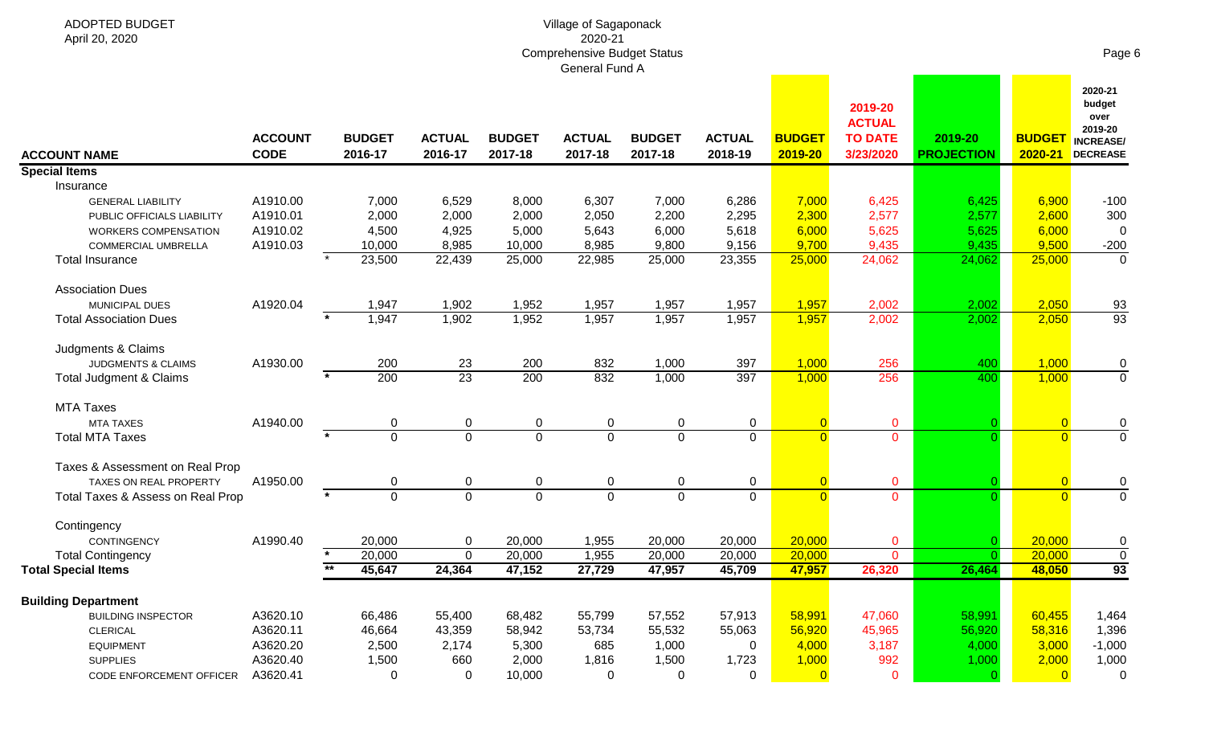**Special Items**

**ACCOUNT NAME**

Insurance

Association Dues

MTA Taxes

## Village of Sagaponack 2020-21 Comprehensive Budget Status

|                                    |                               |                          |                          |                          | General Fund A           |                          |                          |                          |                                                         |                              |                          |                                                                             |
|------------------------------------|-------------------------------|--------------------------|--------------------------|--------------------------|--------------------------|--------------------------|--------------------------|--------------------------|---------------------------------------------------------|------------------------------|--------------------------|-----------------------------------------------------------------------------|
| <b>UNT NAME</b>                    | <b>ACCOUNT</b><br><b>CODE</b> | <b>BUDGET</b><br>2016-17 | <b>ACTUAL</b><br>2016-17 | <b>BUDGET</b><br>2017-18 | <b>ACTUAL</b><br>2017-18 | <b>BUDGET</b><br>2017-18 | <b>ACTUAL</b><br>2018-19 | <b>BUDGET</b><br>2019-20 | 2019-20<br><b>ACTUAL</b><br><b>TO DATE</b><br>3/23/2020 | 2019-20<br><b>PROJECTION</b> | <b>BUDGET</b><br>2020-21 | 2020-21<br>budget<br>over<br>2019-20<br><b>INCREASE/</b><br><b>DECREASE</b> |
| al Items                           |                               |                          |                          |                          |                          |                          |                          |                          |                                                         |                              |                          |                                                                             |
| Insurance                          |                               |                          |                          |                          |                          |                          |                          |                          |                                                         |                              |                          |                                                                             |
| <b>GENERAL LIABILITY</b>           | A1910.00                      | 7,000                    | 6,529                    | 8,000                    | 6,307                    | 7,000                    | 6,286                    | 7,000                    | 6,425                                                   | 6,425                        | 6,900                    | $-100$                                                                      |
| PUBLIC OFFICIALS LIABILITY         | A1910.01                      | 2,000                    | 2,000                    | 2,000                    | 2,050                    | 2,200                    | 2,295                    | 2,300                    | 2,577                                                   | 2,577                        | 2,600                    | 300                                                                         |
| <b>WORKERS COMPENSATION</b>        | A1910.02                      | 4,500                    | 4,925                    | 5,000                    | 5,643                    | 6,000                    | 5,618                    | 6,000                    | 5,625                                                   | 5,625                        | 6,000                    | $\Omega$                                                                    |
| COMMERCIAL UMBRELLA                | A1910.03                      | 10,000                   | 8,985                    | 10,000                   | 8,985                    | 9,800                    | 9,156                    | 9,700                    | 9,435                                                   | 9,435                        | 9,500                    | $-200$                                                                      |
| Total Insurance                    |                               | 23,500                   | 22,439                   | 25,000                   | 22,985                   | 25,000                   | 23,355                   | 25,000                   | 24,062                                                  | 24,062                       | 25,000                   | $\Omega$                                                                    |
| <b>Association Dues</b>            |                               |                          |                          |                          |                          |                          |                          |                          |                                                         |                              |                          |                                                                             |
| MUNICIPAL DUES                     | A1920.04                      | 1,947                    | 1,902                    | 1,952                    | 1,957                    | 1,957                    | 1,957                    | 1,957                    | 2,002                                                   | 2,002                        | 2,050                    | 93                                                                          |
| <b>Total Association Dues</b>      |                               | 1,947                    | 1,902                    | 1,952                    | 1,957                    | 1,957                    | 1,957                    | 1,957                    | 2,002                                                   | 2,002                        | 2,050                    | 93                                                                          |
| Judgments & Claims                 |                               |                          |                          |                          |                          |                          |                          |                          |                                                         |                              |                          |                                                                             |
| <b>JUDGMENTS &amp; CLAIMS</b>      | A1930.00                      | 200                      | 23                       | 200                      | 832                      | 1,000                    | 397                      | 1,000                    | 256                                                     | 400                          | 1,000                    | 0                                                                           |
| <b>Total Judgment &amp; Claims</b> |                               | 200                      | 23                       | 200                      | 832                      | 1,000                    | 397                      | 1,000                    | 256                                                     | 400                          | 1,000                    | $\Omega$                                                                    |
| <b>MTA Taxes</b>                   |                               |                          |                          |                          |                          |                          |                          |                          |                                                         |                              |                          |                                                                             |
| <b>MTA TAXES</b>                   | A1940.00                      | 0                        | 0                        | $\mathbf 0$              | 0                        | $\mathbf 0$              | $\mathbf 0$              | $\overline{0}$           | $\mathbf 0$                                             |                              |                          | 0                                                                           |
| <b>Total MTA Taxes</b>             |                               | $\Omega$                 | $\Omega$                 | $\overline{0}$           | $\Omega$                 | $\mathbf 0$              | $\mathbf 0$              | $\Omega$                 | $\mathbf{0}$                                            |                              |                          | $\Omega$                                                                    |
| Taxes & Assessment on Real Prop    |                               |                          |                          |                          |                          |                          |                          |                          |                                                         |                              |                          |                                                                             |
| TAXES ON REAL PROPERTY             | A1950.00                      | 0                        | 0                        | 0                        | 0                        | $\mathbf 0$              | $\mathbf 0$              | $\overline{0}$           | $\mathbf{0}$                                            |                              |                          | 0                                                                           |
| Total Taxes & Assess on Real Prop  |                               | $\Omega$                 | $\Omega$                 | $\overline{0}$           | $\Omega$                 | $\Omega$                 | $\mathbf{0}$             | $\Omega$                 | $\mathbf{0}$                                            |                              | $\Omega$                 | $\Omega$                                                                    |
| Contingency                        |                               |                          |                          |                          |                          |                          |                          |                          |                                                         |                              |                          |                                                                             |

| Contingency                     |          |        |        |        |        |        |        |        |        |        |        |          |
|---------------------------------|----------|--------|--------|--------|--------|--------|--------|--------|--------|--------|--------|----------|
| <b>CONTINGENCY</b>              | A1990.40 | 20,000 |        | 20,000 | 1.955  | 20,000 | 20,000 | 20,000 |        |        | 20,000 | $\Omega$ |
| <b>Total Contingency</b>        |          | 20,000 |        | 20,000 | 1,955  | 20,000 | 20,000 | 20,000 |        |        | 20,000 |          |
| <b>Total Special Items</b>      |          | 45,647 | 24,364 | 47,152 | 27,729 | 47,957 | 45,709 | 47,957 | 26,320 | 26,464 | 48,050 | 93       |
| <b>Building Department</b>      |          |        |        |        |        |        |        |        |        |        |        |          |
| <b>BUILDING INSPECTOR</b>       | A3620.10 | 66,486 | 55,400 | 68,482 | 55,799 | 57,552 | 57,913 | 58,991 | 47,060 | 58,991 | 60,455 | 1,464    |
| <b>CLERICAL</b>                 | A3620.11 | 46,664 | 43,359 | 58,942 | 53,734 | 55,532 | 55,063 | 56,920 | 45,965 | 56,920 | 58,316 | 1,396    |
| <b>EQUIPMENT</b>                | A3620.20 | 2,500  | 2.174  | 5,300  | 685    | 1,000  |        | 4,000  | 3,187  | 4,000  | 3,000  | $-1,000$ |
| <b>SUPPLIES</b>                 | A3620.40 | 1,500  | 660    | 2,000  | 1,816  | 1,500  | .723،  | 1,000  | 992    | 1.000  | 2,000  | 1,000    |
| <b>CODE ENFORCEMENT OFFICER</b> | A3620.41 |        |        | 10,000 |        | ν      |        |        |        |        |        | $\Omega$ |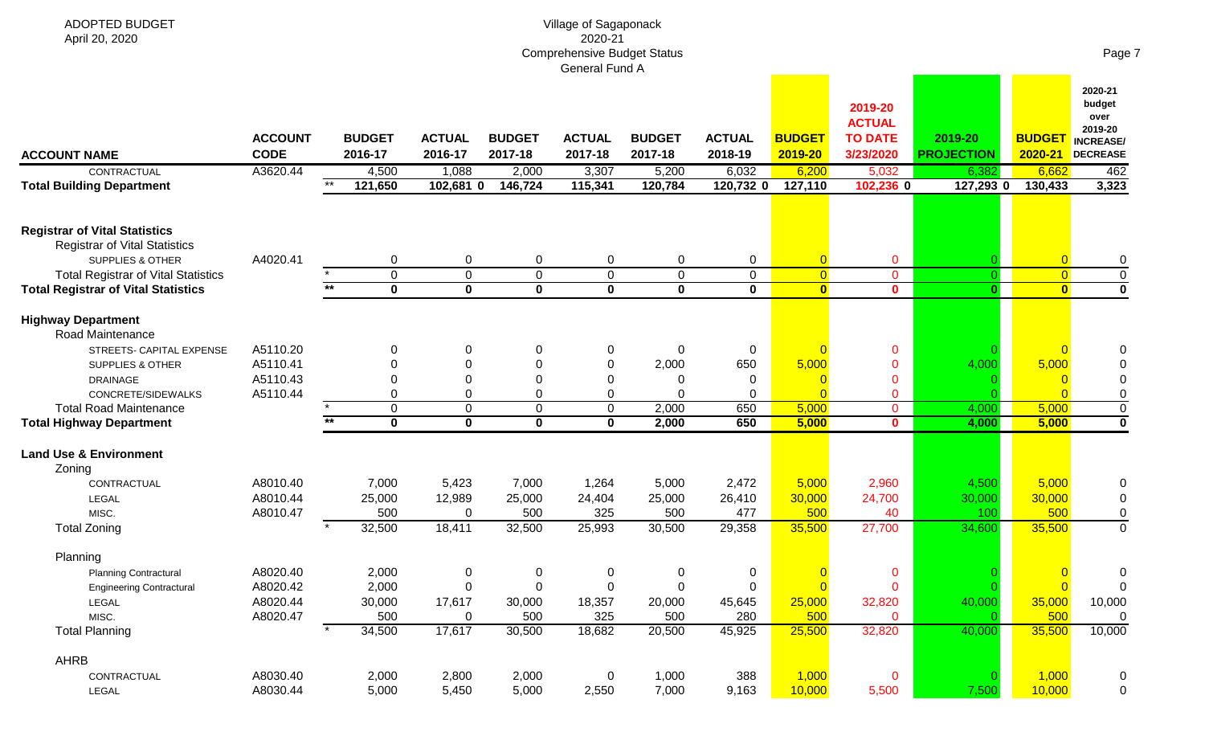| ADOPTED BUDGET<br>April 20, 2020                                             |                               |       |                             |                          |                            | Village of Sagaponack<br>2020-21<br><b>Comprehensive Budget Status</b><br>General Fund A |                            |                                 |                                  |                                                         |                              |                                  | Page 7                                                                      |
|------------------------------------------------------------------------------|-------------------------------|-------|-----------------------------|--------------------------|----------------------------|------------------------------------------------------------------------------------------|----------------------------|---------------------------------|----------------------------------|---------------------------------------------------------|------------------------------|----------------------------------|-----------------------------------------------------------------------------|
| <b>ACCOUNT NAME</b>                                                          | <b>ACCOUNT</b><br><b>CODE</b> |       | <b>BUDGET</b><br>2016-17    | <b>ACTUAL</b><br>2016-17 | <b>BUDGET</b><br>2017-18   | <b>ACTUAL</b><br>2017-18                                                                 | <b>BUDGET</b><br>2017-18   | <b>ACTUAL</b><br>2018-19        | <b>BUDGET</b><br>2019-20         | 2019-20<br><b>ACTUAL</b><br><b>TO DATE</b><br>3/23/2020 | 2019-20<br><b>PROJECTION</b> | <b>BUDGET</b><br>2020-21         | 2020-21<br>budget<br>over<br>2019-20<br><b>INCREASE/</b><br><b>DECREASE</b> |
| CONTRACTUAL                                                                  | A3620.44                      | $*$   | 4,500                       | 1,088                    | 2,000                      | 3,307                                                                                    | 5,200                      | 6,032                           | 6,200                            | 5,032                                                   | 6,382                        | 6,662                            | 462                                                                         |
| <b>Total Building Department</b>                                             |                               |       | 121,650                     | 102,681 0                | 146,724                    | 115,341                                                                                  | 120,784                    | 120,732 0                       | 127,110                          | 102,236 0                                               | 127,293 0                    | 130,433                          | 3,323                                                                       |
| <b>Registrar of Vital Statistics</b><br><b>Registrar of Vital Statistics</b> | A4020.41                      |       |                             |                          |                            |                                                                                          |                            |                                 |                                  |                                                         |                              |                                  |                                                                             |
| <b>SUPPLIES &amp; OTHER</b><br><b>Total Registrar of Vital Statistics</b>    |                               |       | 0<br>$\mathbf 0$            | 0<br>$\mathbf 0$         | 0<br>$\pmb{0}$             | 0<br>$\mathbf 0$                                                                         | $\mathbf 0$<br>$\mathbf 0$ | $\boldsymbol{0}$<br>$\mathbf 0$ | $\overline{0}$<br>$\overline{0}$ | 0<br>$\overline{0}$                                     | O                            | $\overline{0}$<br>$\overline{0}$ | 0<br>0                                                                      |
| <b>Total Registrar of Vital Statistics</b>                                   |                               | $***$ | $\mathbf 0$                 | $\mathbf 0$              | $\mathbf 0$                | $\mathbf 0$                                                                              | $\mathbf 0$                | $\mathbf 0$                     | $\overline{\mathbf{0}}$          | $\mathbf{0}$                                            | $\bf{0}$                     | $\overline{\mathbf{0}}$          | $\bf{0}$                                                                    |
| <b>Highway Department</b><br>Road Maintenance                                |                               |       |                             |                          |                            |                                                                                          |                            |                                 |                                  |                                                         |                              |                                  |                                                                             |
| STREETS- CAPITAL EXPENSE                                                     | A5110.20                      |       |                             | 0                        | 0                          | 0                                                                                        | 0                          | 0                               |                                  | $\mathbf 0$                                             |                              |                                  | 0                                                                           |
| <b>SUPPLIES &amp; OTHER</b>                                                  | A5110.41                      |       |                             | 0                        | 0                          | $\boldsymbol{0}$                                                                         | 2,000                      | 650                             | 5,000                            | $\mathbf{0}$                                            | 4,000                        | 5,000                            |                                                                             |
| <b>DRAINAGE</b>                                                              | A5110.43                      |       |                             | $\Omega$                 | 0                          | 0                                                                                        |                            | 0                               |                                  | $\mathbf{0}$                                            |                              |                                  |                                                                             |
| CONCRETE/SIDEWALKS                                                           | A5110.44                      |       | 0                           | $\Omega$                 | 0                          | 0                                                                                        |                            | 0                               |                                  | 0                                                       |                              |                                  | 0                                                                           |
| <b>Total Road Maintenance</b><br><b>Total Highway Department</b>             |                               | $***$ | $\mathbf 0$<br>$\mathbf{0}$ | 0<br>$\bf{0}$            | $\mathsf 0$<br>$\mathbf 0$ | $\mathbf 0$<br>$\mathbf 0$                                                               | 2,000<br>2,000             | 650<br>650                      | 5,000<br>5,000                   | $\overline{0}$<br>$\mathbf{0}$                          | 4,000<br>4,000               | 5,000<br>5,000                   | $\mathbf 0$<br>$\mathbf 0$                                                  |
| <b>Land Use &amp; Environment</b>                                            |                               |       |                             |                          |                            |                                                                                          |                            |                                 |                                  |                                                         |                              |                                  |                                                                             |
| Zoning                                                                       |                               |       |                             |                          |                            |                                                                                          |                            |                                 |                                  |                                                         |                              |                                  |                                                                             |
| CONTRACTUAL                                                                  | A8010.40                      |       | 7,000                       | 5,423                    | 7,000                      | 1,264                                                                                    | 5,000                      | 2,472                           | 5,000                            | 2,960                                                   | 4,500                        | 5,000                            | 0                                                                           |
| LEGAL                                                                        | A8010.44                      |       | 25,000                      | 12,989                   | 25,000                     | 24,404                                                                                   | 25,000                     | 26,410                          | 30,000                           | 24,700                                                  | 30,000                       | 30,000                           | 0                                                                           |
| MISC.<br><b>Total Zoning</b>                                                 | A8010.47                      |       | 500<br>32,500               | $\mathbf 0$<br>18,411    | 500<br>32,500              | 325<br>25,993                                                                            | 500<br>30,500              | 477<br>29,358                   | 500<br>35,500                    | 40<br>27,700                                            | 100<br>34,600                | 500<br>35,500                    | 0<br>$\mathbf{0}$                                                           |
| Planning                                                                     |                               |       |                             |                          |                            |                                                                                          |                            |                                 |                                  |                                                         |                              |                                  |                                                                             |
| <b>Planning Contractural</b>                                                 | A8020.40                      |       | 2,000                       | $\pmb{0}$                | $\pmb{0}$                  | 0                                                                                        | 0                          | $\mathbf 0$                     | $\overline{0}$                   | $\mathbf 0$                                             | 0                            | $\overline{0}$                   | 0                                                                           |
| <b>Engineering Contractural</b>                                              | A8020.42                      |       | 2,000                       | $\mathbf 0$              | $\pmb{0}$                  | $\pmb{0}$                                                                                | $\mathbf 0$                | $\boldsymbol{0}$                | $\Omega$                         | $\mathbf 0$                                             | $\Omega$                     | $\Omega$                         | ∩                                                                           |
| LEGAL                                                                        | A8020.44                      |       | 30,000                      | 17,617                   | 30,000                     | 18,357                                                                                   | 20,000                     | 45,645                          | 25,000                           | 32,820                                                  | 40,000                       | 35,000                           | 10,000                                                                      |
| MISC.                                                                        | A8020.47                      |       | 500                         | 0                        | 500                        | 325                                                                                      | 500                        | 280                             | 500                              | $\mathbf{0}$                                            |                              | 500                              | 0                                                                           |
| <b>Total Planning</b>                                                        |                               |       | 34,500                      | 17,617                   | 30,500                     | 18,682                                                                                   | 20,500                     | 45,925                          | 25,500                           | 32,820                                                  | 40,000                       | 35,500                           | 10,000                                                                      |
| AHRB                                                                         |                               |       |                             |                          |                            |                                                                                          |                            |                                 |                                  |                                                         |                              |                                  |                                                                             |
| CONTRACTUAL                                                                  | A8030.40                      |       | 2,000                       | 2,800                    | 2,000                      | $\mathbf 0$                                                                              | 1,000                      | 388                             | 1,000                            | $\mathbf 0$                                             | C                            | 1,000                            | 0                                                                           |
| LEGAL                                                                        | A8030.44                      |       | 5,000                       | 5,450                    | 5,000                      | 2,550                                                                                    | 7,000                      | 9,163                           | 10,000                           | 5,500                                                   | 7,500                        | 10,000                           | $\mathbf 0$                                                                 |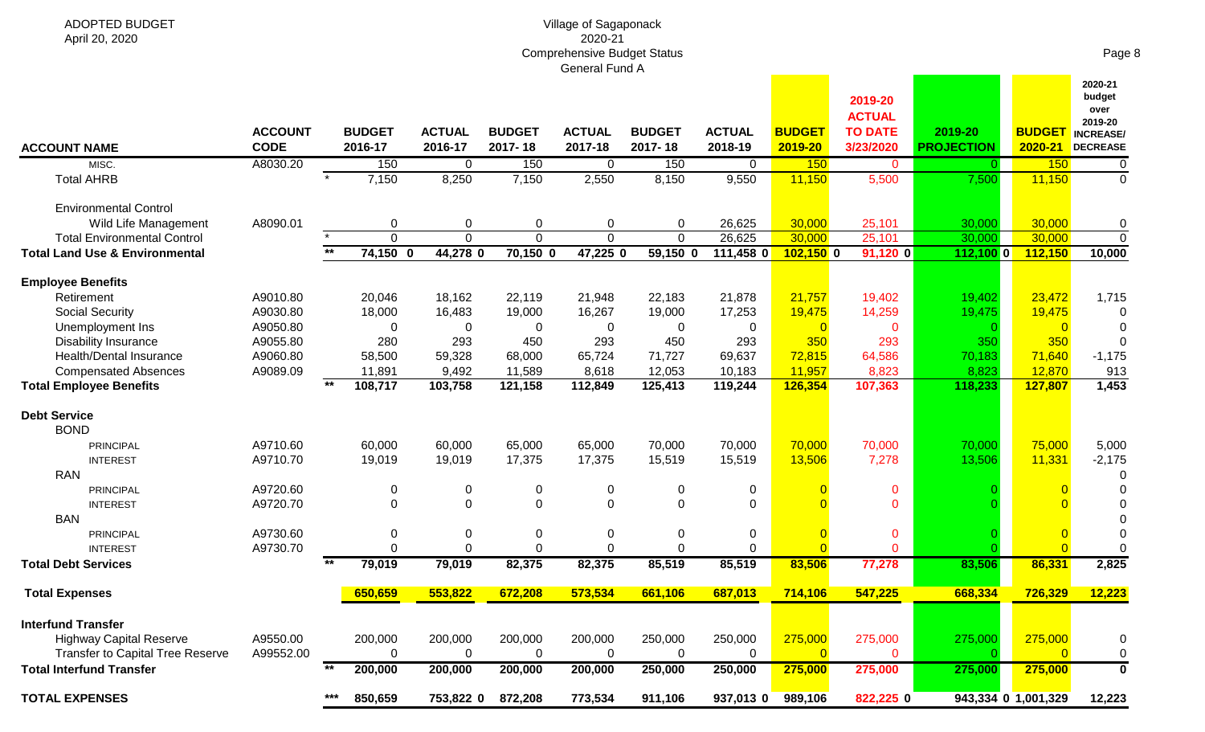#### Village of Sagaponack 2020-21 Comprehensive Budget Status General Fund A

| ADOPTED BUDGET |
|----------------|
| April 20, 2020 |

Page 8

**2020-21** 

| <b>ACCOUNT NAME</b>                       | <b>ACCOUNT</b><br><b>CODE</b> |       | <b>BUDGET</b><br>2016-17 | <b>ACTUAL</b><br>2016-17 | <b>BUDGET</b><br>2017-18 | <b>ACTUAL</b><br>2017-18 | <b>BUDGET</b><br>2017-18 | <b>ACTUAL</b><br>2018-19 | <b>BUDGET</b><br>2019-20 | 2019-20<br><b>ACTUAL</b><br><b>TO DATE</b><br>3/23/2020 | 2019-20<br><b>PROJECTION</b> | <b>BUDGET</b><br>2020-21 | budget<br>over<br>2019-20<br><b>INCREASE/</b><br><b>DECREASE</b> |
|-------------------------------------------|-------------------------------|-------|--------------------------|--------------------------|--------------------------|--------------------------|--------------------------|--------------------------|--------------------------|---------------------------------------------------------|------------------------------|--------------------------|------------------------------------------------------------------|
| MISC.                                     | A8030.20                      |       | 150                      | $\overline{0}$           | 150                      | 0                        | 150                      | $\mathbf{0}$             | 150                      | $\mathbf{0}$                                            | $\Omega$                     | 150                      | $\overline{0}$                                                   |
| <b>Total AHRB</b>                         |                               |       | 7,150                    | 8,250                    | 7,150                    | 2,550                    | 8,150                    | 9,550                    | 11,150                   | 5,500                                                   | 7,500                        | 11,150                   | $\overline{0}$                                                   |
| <b>Environmental Control</b>              |                               |       |                          |                          |                          |                          |                          |                          |                          |                                                         |                              |                          |                                                                  |
| Wild Life Management                      | A8090.01                      |       | 0                        | 0                        | 0                        | 0                        | 0                        | 26,625                   | 30,000                   | 25,101                                                  | 30,000                       | 30,000                   | 0                                                                |
| <b>Total Environmental Control</b>        |                               |       | $\overline{0}$           | $\overline{0}$           | $\overline{0}$           | $\Omega$                 | $\overline{0}$           | 26,625                   | 30,000                   | 25,101                                                  | 30,000                       | 30,000                   | $\overline{0}$                                                   |
| <b>Total Land Use &amp; Environmental</b> |                               | $***$ | $74,150$ 0               | 44,278 0                 | $70,150$ 0               | 47,225 0                 | $59,150$ 0               | 111,458 0                | $102,150$ 0              | 91,120 0                                                | $112,100$ 0                  | 112,150                  | 10,000                                                           |
| <b>Employee Benefits</b>                  |                               |       |                          |                          |                          |                          |                          |                          |                          |                                                         |                              |                          |                                                                  |
| Retirement                                | A9010.80                      |       | 20,046                   | 18,162                   | 22,119                   | 21,948                   | 22,183                   | 21,878                   | 21,757                   | 19,402                                                  | 19,402                       | 23,472                   | 1,715                                                            |
| <b>Social Security</b>                    | A9030.80                      |       | 18,000                   | 16,483                   | 19,000                   | 16,267                   | 19,000                   | 17,253                   | 19,475                   | 14,259                                                  | 19,475                       | 19,475                   | 0                                                                |
| Unemployment Ins                          | A9050.80                      |       | $\mathbf 0$              | 0                        | $\Omega$                 | $\Omega$                 | $\mathbf 0$              | $\mathbf{0}$             | $\overline{0}$           | $\mathbf{0}$                                            | $\cap$                       | $\overline{0}$           | $\Omega$                                                         |
| <b>Disability Insurance</b>               | A9055.80                      |       | 280                      | 293                      | 450                      | 293                      | 450                      | 293                      | 350                      | 293                                                     | 350                          | 350                      | $\mathbf 0$                                                      |
| Health/Dental Insurance                   | A9060.80                      |       | 58,500                   | 59,328                   | 68,000                   | 65,724                   | 71,727                   | 69,637                   | 72,815                   | 64,586                                                  | 70,183                       | 71,640                   | $-1,175$                                                         |
| <b>Compensated Absences</b>               | A9089.09                      |       | 11,891                   | 9,492                    | 11,589                   | 8,618                    | 12,053                   | 10,183                   | 11,957                   | 8,823                                                   | 8,823                        | 12,870                   | 913                                                              |
| <b>Total Employee Benefits</b>            |                               | $*$   | 108,717                  | 103,758                  | 121,158                  | 112,849                  | 125,413                  | 119,244                  | 126,354                  | 107,363                                                 | 118,233                      | 127,807                  | 1,453                                                            |
| <b>Debt Service</b>                       |                               |       |                          |                          |                          |                          |                          |                          |                          |                                                         |                              |                          |                                                                  |
| <b>BOND</b>                               |                               |       |                          |                          |                          |                          |                          |                          |                          |                                                         |                              |                          |                                                                  |
| <b>PRINCIPAL</b>                          | A9710.60                      |       | 60,000                   | 60,000                   | 65,000                   | 65,000                   | 70,000                   | 70,000                   | 70,000                   | 70,000                                                  | 70,000                       | 75,000                   | 5,000                                                            |
| <b>INTEREST</b>                           | A9710.70                      |       | 19,019                   | 19,019                   | 17,375                   | 17,375                   | 15,519                   | 15,519                   | 13,506                   | 7,278                                                   | 13,506                       | 11,331                   | $-2,175$                                                         |
| <b>RAN</b>                                |                               |       |                          |                          |                          |                          |                          |                          |                          |                                                         |                              |                          | $\Omega$                                                         |
| <b>PRINCIPAL</b>                          | A9720.60                      |       | $\Omega$                 | $\mathbf 0$              | $\mathbf 0$              | 0                        | $\mathbf 0$              | 0                        | $\Omega$                 | $\mathbf 0$                                             |                              | $\Omega$                 | $\mathbf 0$                                                      |
| <b>INTEREST</b>                           | A9720.70                      |       | $\Omega$                 | $\mathbf 0$              | $\Omega$                 | $\Omega$                 | $\mathbf 0$              | $\Omega$                 | $\Omega$                 | $\Omega$                                                |                              |                          | $\mathbf 0$                                                      |
| <b>BAN</b>                                |                               |       |                          |                          |                          |                          |                          |                          |                          |                                                         |                              |                          | $\Omega$                                                         |
| <b>PRINCIPAL</b>                          | A9730.60                      |       | 0                        | 0                        | 0                        | 0                        | 0                        | $\pmb{0}$                | $\overline{0}$           | 0                                                       |                              | $\overline{0}$           | $\overline{0}$                                                   |
| <b>INTEREST</b>                           | A9730.70                      |       | 0                        | $\mathbf 0$              | 0                        | $\overline{0}$           | $\mathbf 0$              | $\mathbf 0$              | $\overline{0}$           | $\mathbf{0}$                                            |                              | $\overline{0}$           | $\mathbf 0$                                                      |
| <b>Total Debt Services</b>                |                               | $**$  | 79,019                   | 79,019                   | 82,375                   | 82,375                   | 85,519                   | 85,519                   | 83,506                   | 77,278                                                  | 83,506                       | 86,331                   | 2,825                                                            |
| <b>Total Expenses</b>                     |                               |       | 650,659                  | 553,822                  | 672,208                  | 573,534                  | 661,106                  | 687,013                  | 714,106                  | 547,225                                                 | 668,334                      | 726,329                  | 12,223                                                           |
|                                           |                               |       |                          |                          |                          |                          |                          |                          |                          |                                                         |                              |                          |                                                                  |
| <b>Interfund Transfer</b>                 |                               |       |                          |                          |                          |                          |                          |                          |                          |                                                         |                              |                          |                                                                  |
| <b>Highway Capital Reserve</b>            | A9550.00                      |       | 200,000                  | 200,000                  | 200,000                  | 200,000                  | 250,000                  | 250,000                  | 275,000                  | 275,000                                                 | 275,000                      | 275,000                  | $\boldsymbol{0}$                                                 |
| <b>Transfer to Capital Tree Reserve</b>   | A99552.00                     |       | 0                        | $\mathbf 0$              | $\mathbf 0$              | $\mathbf 0$              | $\mathbf 0$              | $\mathbf 0$              | $\overline{0}$           | $\Omega$                                                |                              | $\Omega$                 | $\pmb{0}$                                                        |
| <b>Total Interfund Transfer</b>           |                               |       | 200,000                  | 200,000                  | 200,000                  | 200,000                  | 250,000                  | 250,000                  | 275,000                  | 275,000                                                 | 275,000                      | 275,000                  | $\overline{\mathbf{0}}$                                          |
| <b>TOTAL EXPENSES</b>                     |                               | ***   | 850,659                  | 753,822 0                | 872,208                  | 773,534                  | 911,106                  | 937,013 0                | 989,106                  | 822,225 0                                               |                              | 943,334 0 1,001,329      | 12,223                                                           |